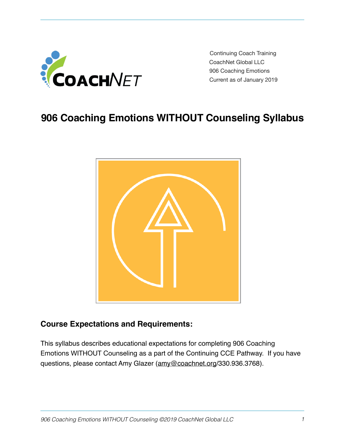

Continuing Coach Training CoachNet Global LLC 906 Coaching Emotions Current as of January 2019

# **906 Coaching Emotions WITHOUT Counseling Syllabus**



### **Course Expectations and Requirements:**

This syllabus describes educational expectations for completing 906 Coaching Emotions WITHOUT Counseling as a part of the Continuing CCE Pathway. If you have questions, please contact Amy Glazer [\(amy@coachnet.org](mailto:amy@coachnet.org)/330.936.3768).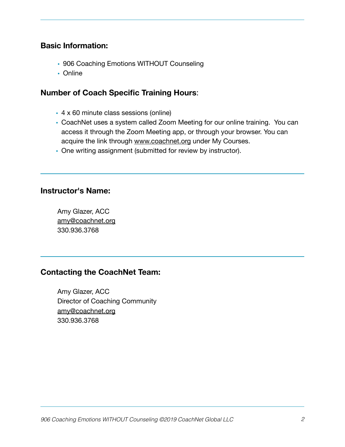#### **Basic Information:**

- 906 Coaching Emotions WITHOUT Counseling
- Online

### **Number of Coach Specific Training Hours**:

- 4 x 60 minute class sessions (online)
- CoachNet uses a system called Zoom Meeting for our online training. You can access it through the Zoom Meeting app, or through your browser. You can acquire the link through [www.coachnet.org](http://www.coachnet.org) under My Courses.
- One writing assignment (submitted for review by instructor).

#### **Instructor's Name:**

Amy Glazer, ACC [amy@coachnet.org](mailto:amy@coachnet.org) 330.936.3768 

### **Contacting the CoachNet Team:**

Amy Glazer, ACC Director of Coaching Community [amy@coachnet.org](mailto:amy@coachnet.org) 330.936.3768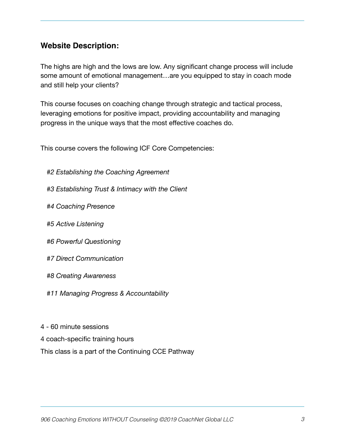# **Website Description:**

The highs are high and the lows are low. Any significant change process will include some amount of emotional management…are you equipped to stay in coach mode and still help your clients?

This course focuses on coaching change through strategic and tactical process, leveraging emotions for positive impact, providing accountability and managing progress in the unique ways that the most effective coaches do.

This course covers the following ICF Core Competencies:

- *#2 Establishing the Coaching Agreement*
- *#3 Establishing Trust & Intimacy with the Client*
- *#4 Coaching Presence*
- *#5 Active Listening*
- *#6 Powerful Questioning*
- *#7 Direct Communication*
- *#8 Creating Awareness*
- *#11 Managing Progress & Accountability*
- 4 60 minute sessions
- 4 coach-specific training hours

This class is a part of the Continuing CCE Pathway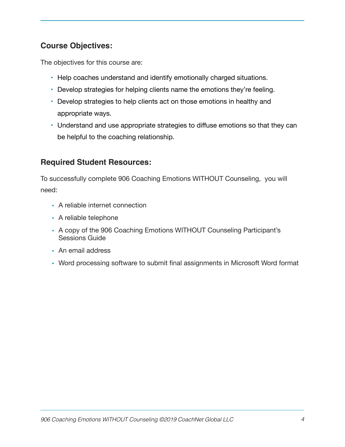# **Course Objectives:**

The objectives for this course are:

- Help coaches understand and identify emotionally charged situations.
- Develop strategies for helping clients name the emotions they're feeling.
- Develop strategies to help clients act on those emotions in healthy and appropriate ways.
- Understand and use appropriate strategies to diffuse emotions so that they can be helpful to the coaching relationship.

## **Required Student Resources:**

To successfully complete 906 Coaching Emotions WITHOUT Counseling, you will need:

- A reliable internet connection
- A reliable telephone
- A copy of the 906 Coaching Emotions WITHOUT Counseling Participant's Sessions Guide
- An email address
- Word processing software to submit final assignments in Microsoft Word format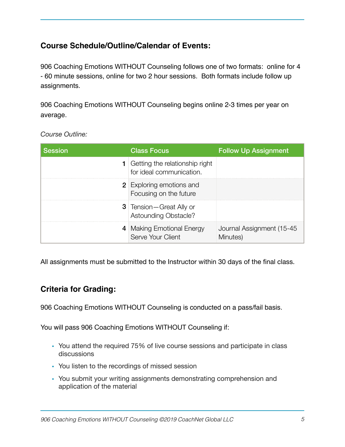# **Course Schedule/Outline/Calendar of Events:**

906 Coaching Emotions WITHOUT Counseling follows one of two formats: online for 4 - 60 minute sessions, online for two 2 hour sessions. Both formats include follow up assignments.

906 Coaching Emotions WITHOUT Counseling begins online 2-3 times per year on average.

| <b>Session</b> | <b>Class Focus</b>                                                  | <b>Follow Up Assignment</b>           |
|----------------|---------------------------------------------------------------------|---------------------------------------|
|                | <b>1</b> Getting the relationship right<br>for ideal communication. |                                       |
|                | <b>2</b> Exploring emotions and<br>Focusing on the future           |                                       |
|                | <b>3</b> Tension – Great Ally or<br><b>Astounding Obstacle?</b>     |                                       |
|                | 4 Making Emotional Energy<br>Serve Your Client                      | Journal Assignment (15-45<br>Minutes) |

*Course Outline:* 

All assignments must be submitted to the Instructor within 30 days of the final class.

# **Criteria for Grading:**

906 Coaching Emotions WITHOUT Counseling is conducted on a pass/fail basis.

You will pass 906 Coaching Emotions WITHOUT Counseling if:

- You attend the required 75% of live course sessions and participate in class discussions
- You listen to the recordings of missed session
- You submit your writing assignments demonstrating comprehension and application of the material